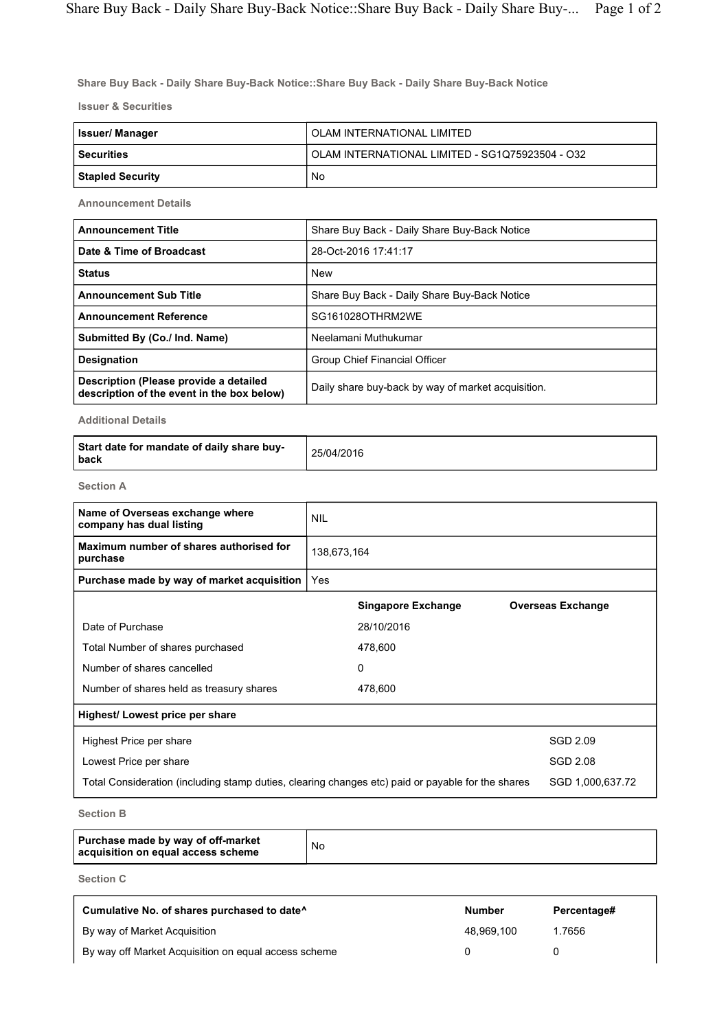Share Buy Back - Daily Share Buy-Back Notice::Share Buy Back - Daily Share Buy-Back Notice

Issuer & Securities

| Issuer/ Manager         | OLAM INTERNATIONAL LIMITED                      |  |  |  |
|-------------------------|-------------------------------------------------|--|--|--|
| <b>Securities</b>       | OLAM INTERNATIONAL LIMITED - SG1Q75923504 - O32 |  |  |  |
| <b>Stapled Security</b> | No                                              |  |  |  |

Announcement Details

| <b>Announcement Title</b>                                                            | Share Buy Back - Daily Share Buy-Back Notice       |  |  |  |
|--------------------------------------------------------------------------------------|----------------------------------------------------|--|--|--|
| Date & Time of Broadcast                                                             | 28-Oct-2016 17:41:17                               |  |  |  |
| <b>Status</b>                                                                        | <b>New</b>                                         |  |  |  |
| <b>Announcement Sub Title</b>                                                        | Share Buy Back - Daily Share Buy-Back Notice       |  |  |  |
| <b>Announcement Reference</b>                                                        | SG161028OTHRM2WE                                   |  |  |  |
| Submitted By (Co./ Ind. Name)                                                        | Neelamani Muthukumar                               |  |  |  |
| <b>Designation</b>                                                                   | Group Chief Financial Officer                      |  |  |  |
| Description (Please provide a detailed<br>description of the event in the box below) | Daily share buy-back by way of market acquisition. |  |  |  |

Additional Details

| Start date for mandate of daily share buy-<br>l back | 25/04/2016 |
|------------------------------------------------------|------------|
|------------------------------------------------------|------------|

Section A

| <b>NIL</b>                                                                                        |                           |                          |  |
|---------------------------------------------------------------------------------------------------|---------------------------|--------------------------|--|
| 138,673,164                                                                                       |                           |                          |  |
| Yes                                                                                               |                           |                          |  |
|                                                                                                   | <b>Singapore Exchange</b> | <b>Overseas Exchange</b> |  |
|                                                                                                   | 28/10/2016                |                          |  |
|                                                                                                   | 478,600                   |                          |  |
|                                                                                                   | 0                         |                          |  |
|                                                                                                   | 478,600                   |                          |  |
|                                                                                                   |                           |                          |  |
|                                                                                                   |                           | <b>SGD 2.09</b>          |  |
|                                                                                                   |                           | SGD 2.08                 |  |
| Total Consideration (including stamp duties, clearing changes etc) paid or payable for the shares |                           |                          |  |
|                                                                                                   |                           |                          |  |

Section B

|  | Purchase made by way of off-market<br>acquisition on equal access scheme | No |
|--|--------------------------------------------------------------------------|----|
|--|--------------------------------------------------------------------------|----|

Section C

| Cumulative No. of shares purchased to date <sup>^</sup> | <b>Number</b> | Percentage# |
|---------------------------------------------------------|---------------|-------------|
| By way of Market Acquisition                            | 48.969.100    | 1.7656      |
| By way off Market Acquisition on equal access scheme    |               |             |

٦